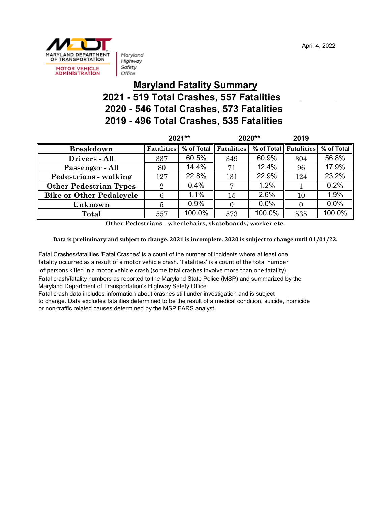April 4, 2022



Maryland Highway Safety Office

#### **Maryland Fatality Summary 2021 - 519 Total Crashes, 557 Fatalities 2020 - 546 Total Crashes, 573 Fatalities 2019 - 496 Total Crashes, 535 Fatalities**

|                                 | 2021**            |            | 2020**     |            | 2019       |            |
|---------------------------------|-------------------|------------|------------|------------|------------|------------|
| <b>Breakdown</b>                | <b>Fatalities</b> | % of Total | Fatalities | % of Total | Fatalities | % of Total |
| Drivers - All                   | 337               | 60.5%      | 349        | 60.9%      | 304        | 56.8%      |
| Passenger - All                 | 80                | 14.4%      | 71         | 12.4%      | 96         | 17.9%      |
| Pedestrians - walking           | 127               | 22.8%      | 131        | 22.9%      | 124        | 23.2%      |
| <b>Other Pedestrian Types</b>   | 2                 | 0.4%       | ┍          | 1.2%       |            | 0.2%       |
| <b>Bike or Other Pedalcycle</b> | 6                 | 1.1%       | 15         | 2.6%       | 10         | 1.9%       |
| Unknown                         | 5                 | 0.9%       | 0          | 0.0%       | $\Omega$   | 0.0%       |
| Total                           | 557               | 100.0%     | 573        | 100.0%     | 535        | $100.0\%$  |

**Other Pedestrians - wheelchairs, skateboards, worker etc.**

**Data is preliminary and subject to change. 2021 is incomplete. 2020 is subject to change until 01/01/22.**

Fatal Crashes/fatalities 'Fatal Crashes' is a count of the number of incidents where at least one fatality occurred as a result of a motor vehicle crash. 'Fatalities' is a count of the total number of persons killed in a motor vehicle crash (some fatal crashes involve more than one fatality). Fatal crash/fatality numbers as reported to the Maryland State Police (MSP) and summarized by the Maryland Department of Transportation's Highway Safety Office.

Fatal crash data includes information about crashes still under investigation and is subject

to change. Data excludes fatalities determined to be the result of a medical condition, suicide, homicide or non-traffic related causes determined by the MSP FARS analyst.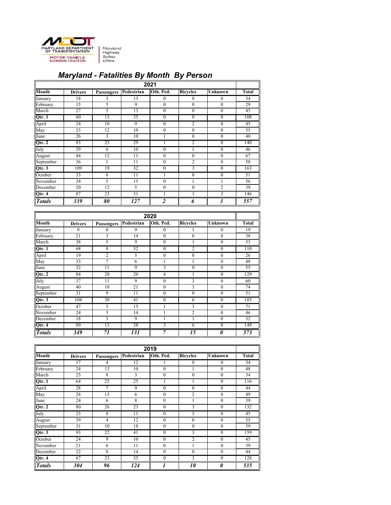

# *Maryland - Fatalities By Month By Person*

| 2021          |                |                |            |                |                  |                      |                 |
|---------------|----------------|----------------|------------|----------------|------------------|----------------------|-----------------|
| <b>Month</b>  | <b>Drivers</b> | Passengers     | Pedestrian | Oth. Ped.      | <b>Bicycles</b>  | <b>Unknown</b>       | <b>Total</b>    |
| January       | 18             | 3              | 13         | $\mathbf{0}$   | $\theta$         | $\mathbf{0}$         | $\overline{34}$ |
| February      | 15             | 5              | 9          | $\theta$       | $\boldsymbol{0}$ | $\boldsymbol{0}$     | 29              |
| March         | 27             | 5              | 13         | $\theta$       | $\boldsymbol{0}$ | $\boldsymbol{0}$     | 45              |
| $Q$ tr. 1     | 60             | 13             | 35         | $\theta$       | $\overline{0}$   | $\theta$             | 108             |
| April         | 24             | 10             | 9          | $\theta$       | $\overline{2}$   | $\boldsymbol{0}$     | 45              |
| May           | 33             | 12             | 10         | $\theta$       | $\boldsymbol{0}$ | $\boldsymbol{0}$     | 55              |
| June          | 26             | $\overline{3}$ | 10         |                | $\boldsymbol{0}$ | $\mathbf{0}$         | 40              |
| Qtr. 2        | 83             | 25             | 29         |                | 2                | $\boldsymbol{0}$     | 140             |
| July          | 29             | 6              | 10         | $\theta$       | 1                | $\theta$             | 46              |
| August        | 44             | 12             | 11         | $\theta$       | $\boldsymbol{0}$ | $\theta$             | 67              |
| September     | 36             |                | 11         | $\theta$       | $\overline{2}$   | $\theta$             | 50              |
| Qtr. 3        | 109            | 19             | 32         | $\theta$       | 3                | $\mathbf{0}$         | 163             |
| October       | 33             | 6              | 11         |                | $\theta$         | $\boldsymbol{0}$     | 51              |
| November      | 34             | 5              | 15         | $\theta$       |                  |                      | 56              |
| December      | 20             | 12             | 5          | $\theta$       | $\overline{0}$   | $\overline{2}$       | $\overline{39}$ |
| Qtr. 4        | 87             | 23             | 31         |                |                  | 3                    | 146             |
| <b>Totals</b> | 339            | 80             | 127        | $\overline{2}$ | 6                | $\boldsymbol{\beta}$ | 557             |

| 2020          |                 |                   |                 |                  |                 |                       |                 |
|---------------|-----------------|-------------------|-----------------|------------------|-----------------|-----------------------|-----------------|
| <b>Month</b>  | <b>Drivers</b>  | <b>Passengers</b> | Pedestrian      | Oth. Ped.        | <b>Bicycles</b> | <b>Unknown</b>        | <b>Total</b>    |
| January       | 9               | $\mathbf{0}$      | 9               | 0                |                 | 0                     | 19              |
| February      | 21              | 3                 | 14              | $\boldsymbol{0}$ | $\theta$        | $\boldsymbol{0}$      | 38              |
| March         | $\overline{38}$ | 5                 | 9               | $\theta$         |                 | $\boldsymbol{0}$      | $\overline{53}$ |
| $Q$ tr. 1     | 68              | 8                 | 32              | $\boldsymbol{0}$ | $\overline{2}$  | $\mathbf{0}$          | 110             |
| April         | 19              | $\overline{c}$    | 5               | $\overline{0}$   | $\mathbf{0}$    | $\boldsymbol{0}$      | 26              |
| May           | 33              | 7                 | 6               |                  |                 | $\boldsymbol{0}$      | 48              |
| June          | 32              | 11                | 9               | 3                | $\mathbf{0}$    | $\boldsymbol{0}$      | $\overline{55}$ |
| $Q$ tr. 2     | 84              | 20                | 20              | 4                |                 | $\boldsymbol{0}$      | 129             |
| July          | 37              | 11                | 9               | $\boldsymbol{0}$ | 3               | $\boldsymbol{0}$      | 60              |
| August        | 40              | 10                | 21              | $\theta$         | 3               | $\boldsymbol{0}$      | 74              |
| September     | 31              | 9                 | 11              | $\theta$         | $\overline{0}$  | $\boldsymbol{0}$      | 51              |
| Qtr. 3        | 108             | 30                | 41              | $\theta$         | 6               | $\mathbf{0}$          | 185             |
| October       | 47              | 5                 | $1\overline{5}$ |                  | 3               | $\boldsymbol{0}$      | 71              |
| November      | 24              | 5                 | 14              |                  | $\overline{2}$  | $\boldsymbol{0}$      | 46              |
| December      | 18              | $\overline{3}$    | 9               |                  |                 | $\boldsymbol{0}$      | 32              |
| Qtr. 4        | 89              | 13                | 38              | 3                | 6               | $\boldsymbol{0}$      | 149             |
| <b>Totals</b> | 349             | 71                | 131             | 7                | 15              | $\boldsymbol{\theta}$ | 573             |

| 2019          |                 |                   |            |                  |                  |                       |                  |
|---------------|-----------------|-------------------|------------|------------------|------------------|-----------------------|------------------|
| <b>Month</b>  | <b>Drivers</b>  | <b>Passengers</b> | Pedestrian | Oth. Ped.        | <b>Bicycles</b>  | <b>Unknown</b>        | <b>Total</b>     |
| January       | 17              | 4                 | 12         |                  | $\theta$         | $\mathbf{0}$          | 34               |
| February      | 24              | 13                | 10         | $\theta$         |                  | $\mathbf{0}$          | 48               |
| March         | $\overline{23}$ | 8                 | 3          | $\overline{0}$   | $\overline{0}$   | $\boldsymbol{0}$      | $\overline{34}$  |
| Qtr. 1        | 64              | 25                | 25         |                  |                  | $\theta$              | 116              |
| April         | $\overline{28}$ | 7                 | 9          | $\boldsymbol{0}$ | $\theta$         | $\boldsymbol{0}$      | 44               |
| May           | 28              | 13                | 6          | $\theta$         | $\overline{2}$   | $\theta$              | 49               |
| June          | 24              | 6                 | 8          | $\overline{0}$   |                  | $\boldsymbol{0}$      | $\overline{39}$  |
| Qtr. 2        | 80              | 26                | 23         | 0                | 3                | $\overline{0}$        | 132              |
| July          | 23              | 8                 | 11         | $\boldsymbol{0}$ | 3                | $\mathbf{0}$          | $\overline{45}$  |
| August        | 39              | 4                 | 12         | $\overline{0}$   | $\overline{0}$   | $\boldsymbol{0}$      | 55               |
| September     | 31              | 10                | 18         | $\theta$         | $\theta$         | $\theta$              | $\overline{59}$  |
| Qtr. 3        | 93              | 22                | 41         | 0                | 3                | $\theta$              | 159              |
| October       | 24              | 9                 | 10         | $\theta$         | $\overline{2}$   | $\theta$              | $\overline{45}$  |
| November      | 21              | 6                 | 11         | $\theta$         |                  | $\boldsymbol{0}$      | 39               |
| December      | 22              | 8                 | 14         | $\theta$         | $\theta$         | $\theta$              | 44               |
| Qtr. 4        | 67              | 23                | 35         | $\overline{0}$   | 3                | $\mathbf{0}$          | 128              |
| <b>Totals</b> | 304             | 96                | 124        |                  | <i><b>10</b></i> | $\boldsymbol{\theta}$ | $\overline{535}$ |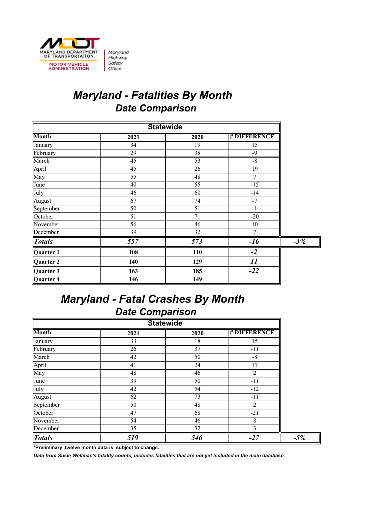

Maryland Highway Safety Office

## *Maryland - Fatalities By Month Date Comparison*

| <b>Statewide</b> |                  |                  |                    |       |  |
|------------------|------------------|------------------|--------------------|-------|--|
| <b>Month</b>     | 2021             | 2020             | <b>#DIFFERENCE</b> |       |  |
| January          | 34               | 19               | 15                 |       |  |
| February         | 29               | 38               | $-9$               |       |  |
| March            | 45               | 53               | $-8$               |       |  |
| April            | $\overline{45}$  | 26               | $\overline{19}$    |       |  |
| May              | 55               | 48               | 7                  |       |  |
| June             | 40               | 55               | $-15$              |       |  |
| July             | 46               | 60               | $-14$              |       |  |
| August           | 67               | 74               | $-7$               |       |  |
| September        | 50               | 51               | $-1$               |       |  |
| October          | 51               | 71               | $-20$              |       |  |
| November         | 56               | 46               | 10                 |       |  |
| December         | 39               | 32               | 7                  |       |  |
| <b>Totals</b>    | $\overline{557}$ | $\overline{573}$ | $-16$              | $-3%$ |  |
| Quarter 1        | 108              | 110              | $-2$               |       |  |
| Quarter 2        | 140              | 129              | 11                 |       |  |
| Quarter 3        | 163              | 185              | $-22$              |       |  |
| Quarter 4        | 146              | 149              |                    |       |  |

#### *Maryland - Fatal Crashes By Month Date Comparison*

| <b>Statewide</b> |      |      |                |  |  |  |
|------------------|------|------|----------------|--|--|--|
| <b>Month</b>     | 2021 | 2020 | # DIFFERENCE   |  |  |  |
| January          | 33   | 18   | 15             |  |  |  |
| February         | 26   | 37   | $-11$          |  |  |  |
| March            | 42   | 50   | $-8$           |  |  |  |
| April<br>May     | 41   | 24   | 17             |  |  |  |
|                  | 48   | 46   | $\overline{2}$ |  |  |  |
| June             | 39   | 50   | $-11$          |  |  |  |
| July             | 42   | 54   | $-12$          |  |  |  |
| August           | 62   | 73   | $-11$          |  |  |  |
| September        | 50   | 48   | 2              |  |  |  |
| October          | 47   | 68   | $-21$          |  |  |  |
| November         | 54   | 46   | 8              |  |  |  |
| December         | 35   | 32   | 3              |  |  |  |
| <b>Totals</b>    | 519  | 546  | $-27$          |  |  |  |

**\*Preliminary ,twelve month data is subject to change.**

*Data from Susie Wellman's fatality counts, includes fatalities that are not yet included in the main database.*